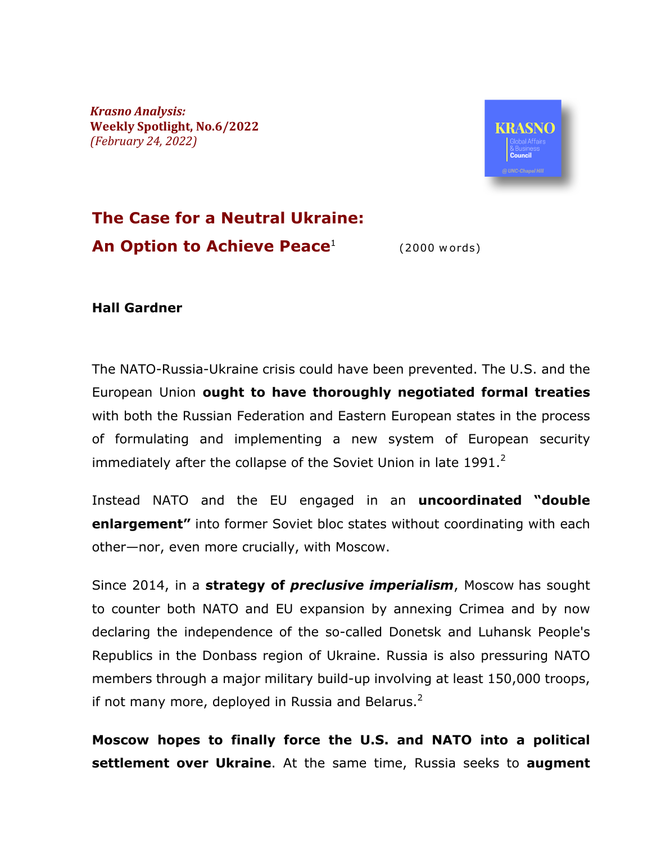*Krasno Analysis:* **Weekly Spotlight, No.6/2022** *(February 24, 2022)*



#### **The Case for a Neutral Ukraine: An Option to Achieve Peace**<sup>1</sup> (2000 words)

#### **Hall Gardner**

The NATO-Russia-Ukraine crisis could have been prevented. The U.S. and the European Union **ought to have thoroughly negotiated formal treaties** with both the Russian Federation and Eastern European states in the process of formulating and implementing a new system of European security immediately after the collapse of the Soviet Union in late 1991.<sup>2</sup>

Instead NATO and the EU engaged in an **uncoordinated "double enlargement"** into former Soviet bloc states without coordinating with each other—nor, even more crucially, with Moscow.

Since 2014, in a **strategy of** *preclusive imperialism*, Moscow has sought to counter both NATO and EU expansion by annexing Crimea and by now declaring the independence of the so-called Donetsk and Luhansk People's Republics in the Donbass region of Ukraine. Russia is also pressuring NATO members through a major military build-up involving at least 150,000 troops, if not many more, deployed in Russia and Belarus. $2$ 

**Moscow hopes to finally force the U.S. and NATO into a political settlement over Ukraine**. At the same time, Russia seeks to **augment**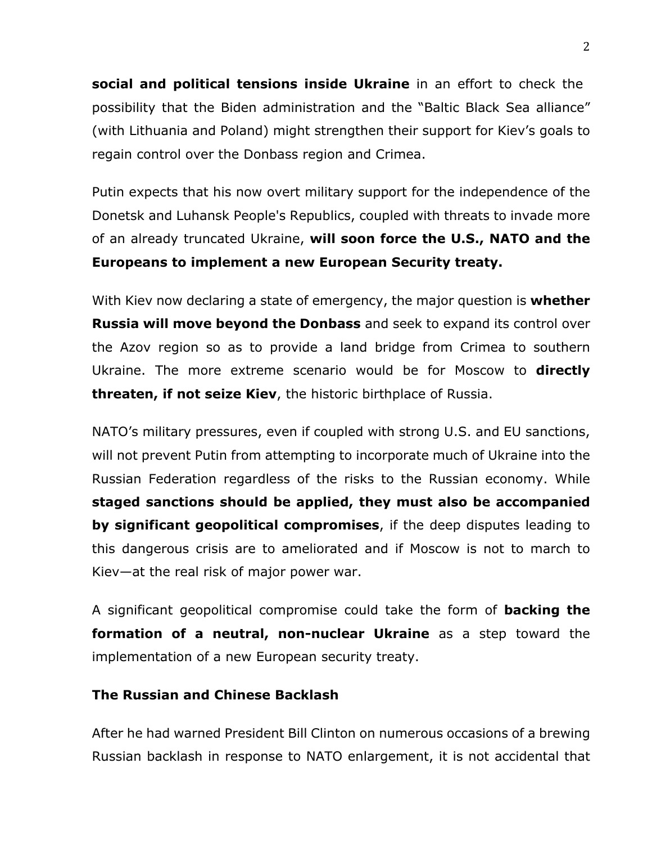**social and political tensions inside Ukraine** in an effort to check the possibility that the Biden administration and the "Baltic Black Sea alliance" (with Lithuania and Poland) might strengthen their support for Kiev's goals to regain control over the Donbass region and Crimea.

Putin expects that his now overt military support for the independence of the Donetsk and Luhansk People's Republics, coupled with threats to invade more of an already truncated Ukraine, **will soon force the U.S., NATO and the Europeans to implement a new European Security treaty.** 

With Kiev now declaring a state of emergency, the major question is **whether Russia will move beyond the Donbass** and seek to expand its control over the Azov region so as to provide a land bridge from Crimea to southern Ukraine. The more extreme scenario would be for Moscow to **directly threaten, if not seize Kiev**, the historic birthplace of Russia.

NATO's military pressures, even if coupled with strong U.S. and EU sanctions, will not prevent Putin from attempting to incorporate much of Ukraine into the Russian Federation regardless of the risks to the Russian economy. While **staged sanctions should be applied, they must also be accompanied by significant geopolitical compromises**, if the deep disputes leading to this dangerous crisis are to ameliorated and if Moscow is not to march to Kiev—at the real risk of major power war.

A significant geopolitical compromise could take the form of **backing the formation of a neutral, non-nuclear Ukraine** as a step toward the implementation of a new European security treaty.

### **The Russian and Chinese Backlash**

After he had warned President Bill Clinton on numerous occasions of a brewing Russian backlash in response to NATO enlargement, it is not accidental that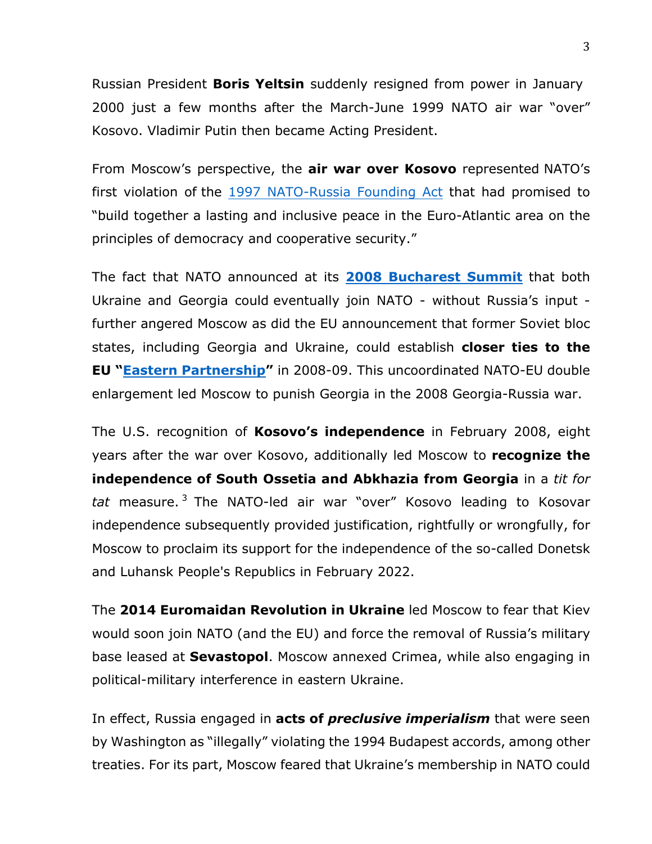Russian President **Boris Yeltsin** suddenly resigned from power in January 2000 just a few months after the March-June 1999 NATO air war "over" Kosovo. Vladimir Putin then became Acting President.

From Moscow's perspective, the **air war over Kosovo** represented NATO's first violation of the 1997 NATO-Russia Founding Act that had promised to "build together a lasting and inclusive peace in the Euro-Atlantic area on the principles of democracy and cooperative security."

The fact that NATO announced at its **2008 Bucharest Summit** that both Ukraine and Georgia could eventually join NATO - without Russia's input further angered Moscow as did the EU announcement that former Soviet bloc states, including Georgia and Ukraine, could establish **closer ties to the EU "Eastern Partnership"** in 2008-09. This uncoordinated NATO-EU double enlargement led Moscow to punish Georgia in the 2008 Georgia-Russia war.

The U.S. recognition of **Kosovo's independence** in February 2008, eight years after the war over Kosovo, additionally led Moscow to **recognize the independence of South Ossetia and Abkhazia from Georgia** in a *tit for tat* measure. <sup>3</sup> The NATO-led air war "over" Kosovo leading to Kosovar independence subsequently provided justification, rightfully or wrongfully, for Moscow to proclaim its support for the independence of the so-called Donetsk and Luhansk People's Republics in February 2022.

The **2014 Euromaidan Revolution in Ukraine** led Moscow to fear that Kiev would soon join NATO (and the EU) and force the removal of Russia's military base leased at **Sevastopol**. Moscow annexed Crimea, while also engaging in political-military interference in eastern Ukraine.

In effect, Russia engaged in **acts of** *preclusive imperialism* that were seen by Washington as "illegally" violating the 1994 Budapest accords, among other treaties. For its part, Moscow feared that Ukraine's membership in NATO could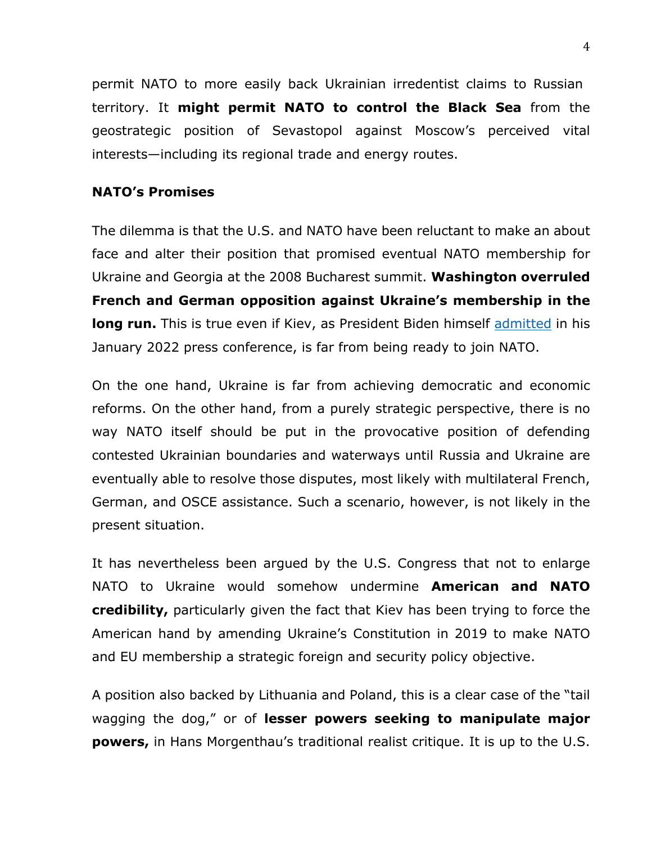permit NATO to more easily back Ukrainian irredentist claims to Russian territory. It **might permit NATO to control the Black Sea** from the geostrategic position of Sevastopol against Moscow's perceived vital interests—including its regional trade and energy routes.

#### **NATO's Promises**

The dilemma is that the U.S. and NATO have been reluctant to make an about face and alter their position that promised eventual NATO membership for Ukraine and Georgia at the 2008 Bucharest summit. **Washington overruled French and German opposition against Ukraine's membership in the long run.** This is true even if Kiev, as President Biden himself admitted in his January 2022 press conference, is far from being ready to join NATO.

On the one hand, Ukraine is far from achieving democratic and economic reforms. On the other hand, from a purely strategic perspective, there is no way NATO itself should be put in the provocative position of defending contested Ukrainian boundaries and waterways until Russia and Ukraine are eventually able to resolve those disputes, most likely with multilateral French, German, and OSCE assistance. Such a scenario, however, is not likely in the present situation.

It has nevertheless been argued by the U.S. Congress that not to enlarge NATO to Ukraine would somehow undermine **American and NATO credibility,** particularly given the fact that Kiev has been trying to force the American hand by amending Ukraine's Constitution in 2019 to make NATO and EU membership a strategic foreign and security policy objective.

A position also backed by Lithuania and Poland, this is a clear case of the "tail wagging the dog," or of **lesser powers seeking to manipulate major powers,** in Hans Morgenthau's traditional realist critique. It is up to the U.S.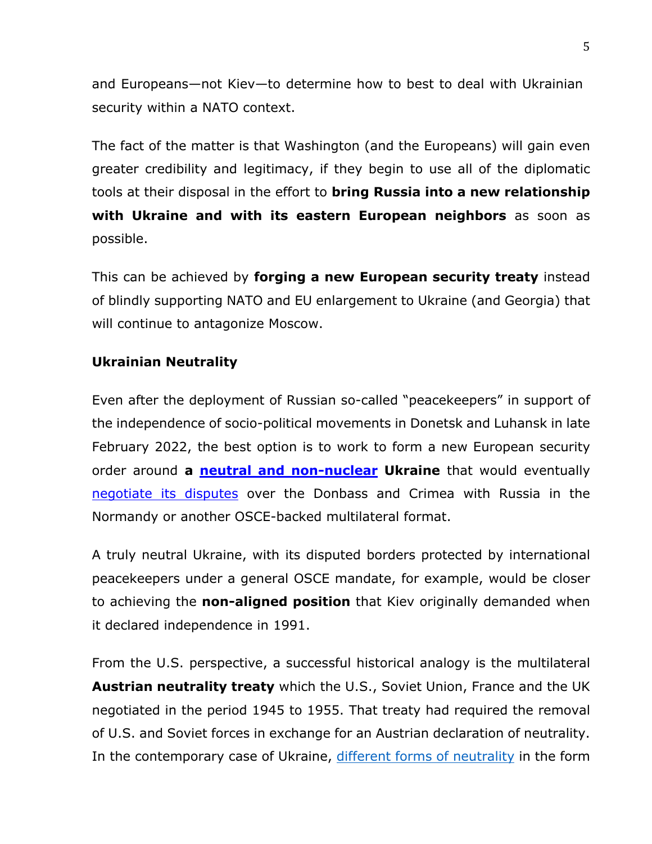and Europeans—not Kiev—to determine how to best to deal with Ukrainian security within a NATO context.

The fact of the matter is that Washington (and the Europeans) will gain even greater credibility and legitimacy, if they begin to use all of the diplomatic tools at their disposal in the effort to **bring Russia into a new relationship with Ukraine and with its eastern European neighbors** as soon as possible.

This can be achieved by **forging a new European security treaty** instead of blindly supporting NATO and EU enlargement to Ukraine (and Georgia) that will continue to antagonize Moscow.

# **Ukrainian Neutrality**

Even after the deployment of Russian so-called "peacekeepers" in support of the independence of socio-political movements in Donetsk and Luhansk in late February 2022, the best option is to work to form a new European security order around **a neutral and non-nuclear Ukraine** that would eventually negotiate its disputes over the Donbass and Crimea with Russia in the Normandy or another OSCE-backed multilateral format.

A truly neutral Ukraine, with its disputed borders protected by international peacekeepers under a general OSCE mandate, for example, would be closer to achieving the **non-aligned position** that Kiev originally demanded when it declared independence in 1991.

From the U.S. perspective, a successful historical analogy is the multilateral **Austrian neutrality treaty** which the U.S., Soviet Union, France and the UK negotiated in the period 1945 to 1955. That treaty had required the removal of U.S. and Soviet forces in exchange for an Austrian declaration of neutrality. In the contemporary case of Ukraine, different forms of neutrality in the form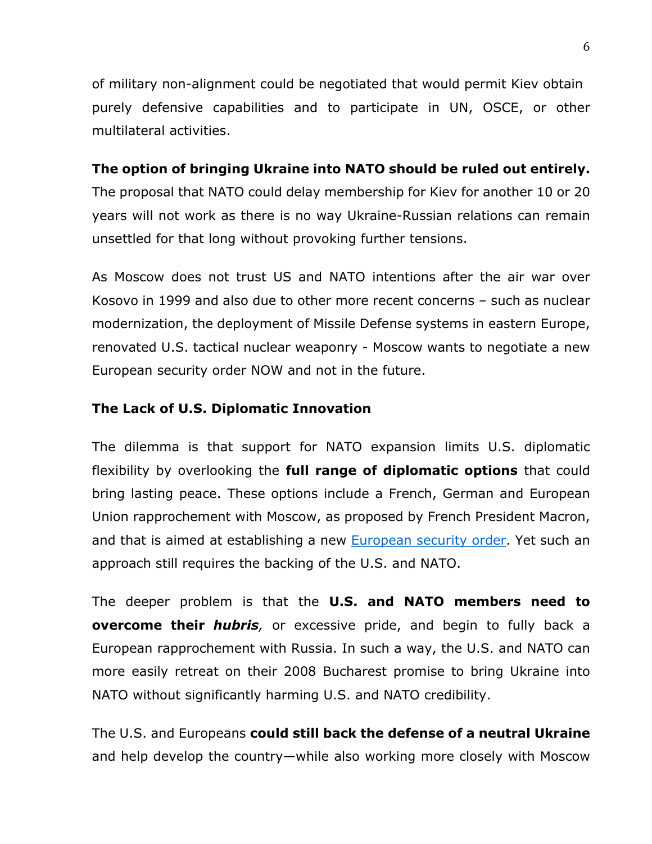of military non-alignment could be negotiated that would permit Kiev obtain purely defensive capabilities and to participate in UN, OSCE, or other multilateral activities.

## **The option of bringing Ukraine into NATO should be ruled out entirely.**

The proposal that NATO could delay membership for Kiev for another 10 or 20 years will not work as there is no way Ukraine-Russian relations can remain unsettled for that long without provoking further tensions.

As Moscow does not trust US and NATO intentions after the air war over Kosovo in 1999 and also due to other more recent concerns – such as nuclear modernization, the deployment of Missile Defense systems in eastern Europe, renovated U.S. tactical nuclear weaponry - Moscow wants to negotiate a new European security order NOW and not in the future.

## **The Lack of U.S. Diplomatic Innovation**

The dilemma is that support for NATO expansion limits U.S. diplomatic flexibility by overlooking the **full range of diplomatic options** that could bring lasting peace. These options include a French, German and European Union rapprochement with Moscow, as proposed by French President Macron, and that is aimed at establishing a new European security order. Yet such an approach still requires the backing of the U.S. and NATO.

The deeper problem is that the **U.S. and NATO members need to overcome their** *hubris*, or excessive pride, and begin to fully back a European rapprochement with Russia. In such a way, the U.S. and NATO can more easily retreat on their 2008 Bucharest promise to bring Ukraine into NATO without significantly harming U.S. and NATO credibility.

The U.S. and Europeans **could still back the defense of a neutral Ukraine** and help develop the country—while also working more closely with Moscow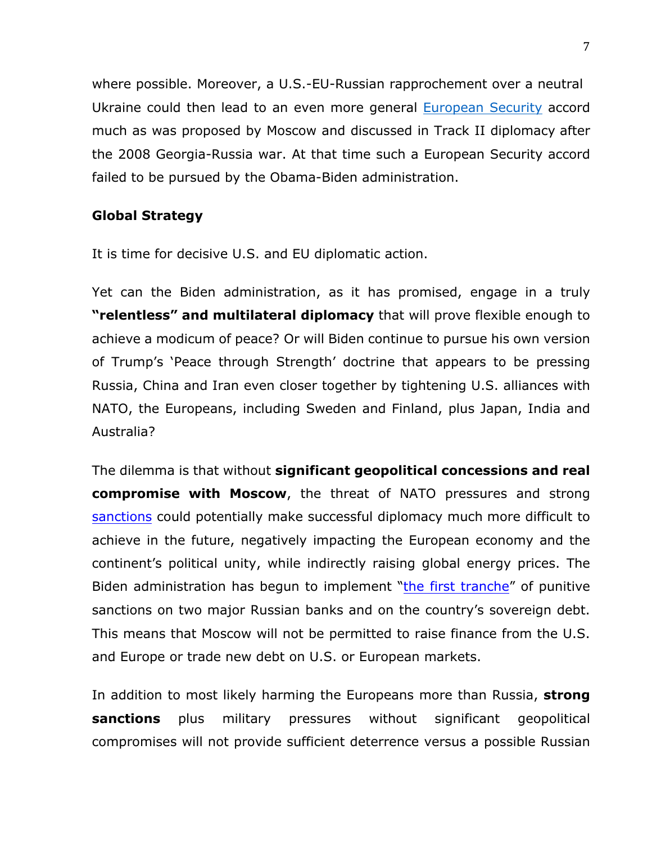where possible. Moreover, a U.S.-EU-Russian rapprochement over a neutral Ukraine could then lead to an even more general European Security accord much as was proposed by Moscow and discussed in Track II diplomacy after the 2008 Georgia-Russia war. At that time such a European Security accord failed to be pursued by the Obama-Biden administration.

## **Global Strategy**

It is time for decisive U.S. and EU diplomatic action.

Yet can the Biden administration, as it has promised, engage in a truly **"relentless" and multilateral diplomacy** that will prove flexible enough to achieve a modicum of peace? Or will Biden continue to pursue his own version of Trump's 'Peace through Strength' doctrine that appears to be pressing Russia, China and Iran even closer together by tightening U.S. alliances with NATO, the Europeans, including Sweden and Finland, plus Japan, India and Australia?

The dilemma is that without **significant geopolitical concessions and real compromise with Moscow**, the threat of NATO pressures and strong sanctions could potentially make successful diplomacy much more difficult to achieve in the future, negatively impacting the European economy and the continent's political unity, while indirectly raising global energy prices. The Biden administration has begun to implement "the first tranche" of punitive sanctions on two major Russian banks and on the country's sovereign debt. This means that Moscow will not be permitted to raise finance from the U.S. and Europe or trade new debt on U.S. or European markets.

In addition to most likely harming the Europeans more than Russia, **strong sanctions** plus military pressures without significant geopolitical compromises will not provide sufficient deterrence versus a possible Russian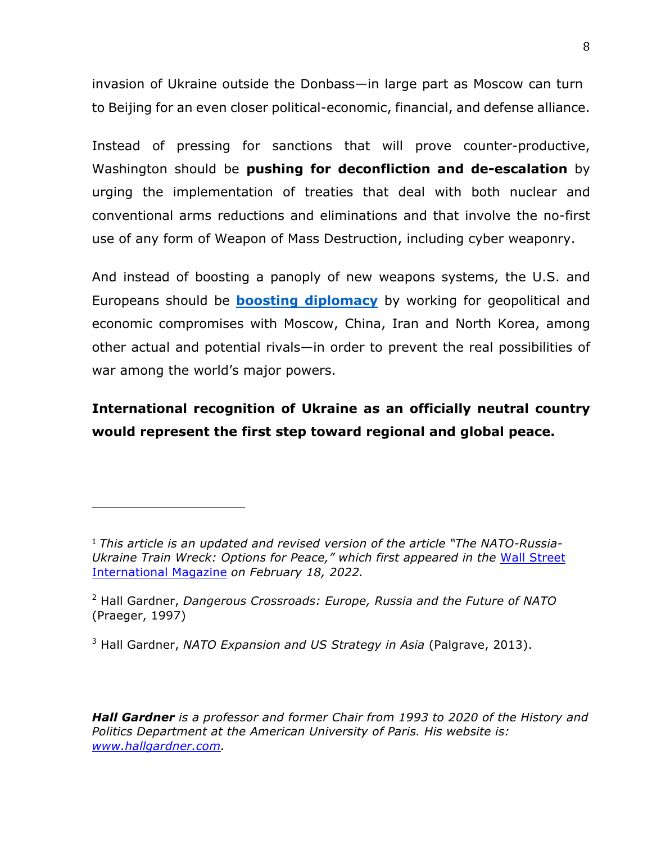invasion of Ukraine outside the Donbass—in large part as Moscow can turn to Beijing for an even closer political-economic, financial, and defense alliance.

Instead of pressing for sanctions that will prove counter-productive, Washington should be **pushing for deconfliction and de-escalation** by urging the implementation of treaties that deal with both nuclear and conventional arms reductions and eliminations and that involve the no-first use of any form of Weapon of Mass Destruction, including cyber weaponry.

And instead of boosting a panoply of new weapons systems, the U.S. and Europeans should be **boosting diplomacy** by working for geopolitical and economic compromises with Moscow, China, Iran and North Korea, among other actual and potential rivals—in order to prevent the real possibilities of war among the world's major powers.

# **International recognition of Ukraine as an officially neutral country would represent the first step toward regional and global peace.**

 

*Hall Gardner is a professor and former Chair from 1993 to 2020 of the History and Politics Department at the American University of Paris. His website is: www.hallgardner.com.*

<sup>1</sup> *This article is an updated and revised version of the article "The NATO-Russia-Ukraine Train Wreck: Options for Peace," which first appeared in the* Wall Street International Magazine *on February 18, 2022.*

<sup>2</sup> Hall Gardner, *Dangerous Crossroads: Europe, Russia and the Future of NATO* (Praeger, 1997)

<sup>3</sup> Hall Gardner, *NATO Expansion and US Strategy in Asia* (Palgrave, 2013).